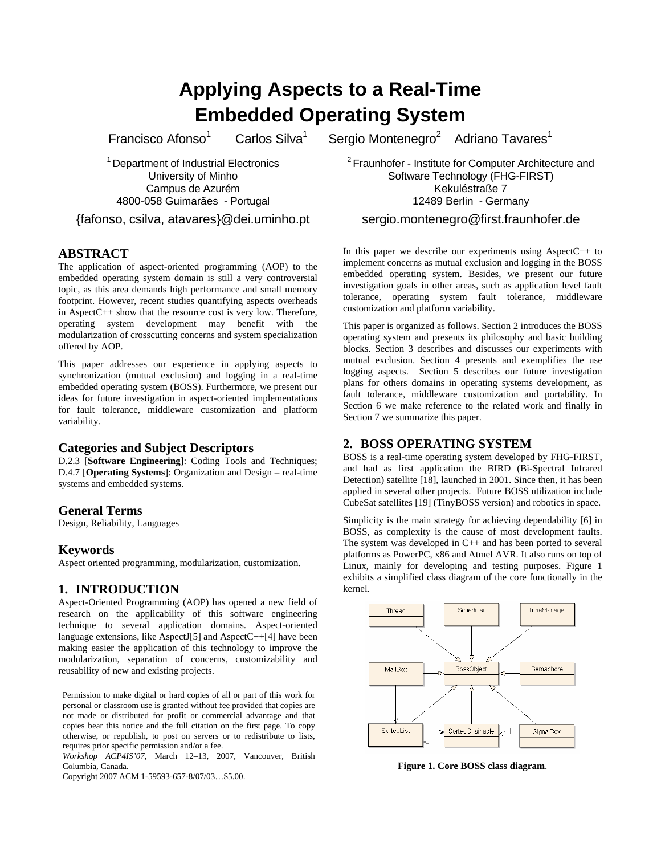# **Applying Aspects to a Real-Time Embedded Operating System**

Francisco Afonso<sup>1</sup>

Carlos Silva<sup>1</sup>

Sergio Montenegro<sup>2</sup> Adriano Tavares<sup>1</sup>

<sup>1</sup> Department of Industrial Electronics University of Minho Campus de Azurém 4800-058 Guimarães - Portugal

{fafonso, csilva, atavares}@dei.uminho.pt

# **ABSTRACT**

The application of aspect-oriented programming (AOP) to the embedded operating system domain is still a very controversial topic, as this area demands high performance and small memory footprint. However, recent studies quantifying aspects overheads in AspectC++ show that the resource cost is very low. Therefore, operating system development may benefit with the modularization of crosscutting concerns and system specialization offered by AOP.

This paper addresses our experience in applying aspects to synchronization (mutual exclusion) and logging in a real-time embedded operating system (BOSS). Furthermore, we present our ideas for future investigation in aspect-oriented implementations for fault tolerance, middleware customization and platform variability.

# **Categories and Subject Descriptors**

D.2.3 [**Software Engineering**]: Coding Tools and Techniques; D.4.7 [**Operating Systems**]: Organization and Design – real-time systems and embedded systems.

# **General Terms**

Design, Reliability, Languages

# **Keywords**

Aspect oriented programming, modularization, customization.

# **1. INTRODUCTION**

Aspect-Oriented Programming (AOP) has opened a new field of research on the applicability of this software engineering technique to several application domains. Aspect-oriented language extensions, like AspectJ[5] and AspectC++[4] have been making easier the application of this technology to improve the modularization, separation of concerns, customizability and reusability of new and existing projects.

Permission to make digital or hard copies of all or part of this work for personal or classroom use is granted without fee provided that copies are not made or distributed for profit or commercial advantage and that copies bear this notice and the full citation on the first page. To copy otherwise, or republish, to post on servers or to redistribute to lists, requires prior specific permission and/or a fee.

*Workshop ACP4IS'07*, March 12–13, 2007, Vancouver, British Columbia, Canada.

Copyright 2007 ACM 1-59593-657-8/07/03…\$5.00.

 $2$  Fraunhofer - Institute for Computer Architecture and Software Technology (FHG-FIRST) Kekuléstraße 7 12489 Berlin - Germany

#### sergio.montenegro@first.fraunhofer.de

In this paper we describe our experiments using Aspect $C_{++}$  to implement concerns as mutual exclusion and logging in the BOSS embedded operating system. Besides, we present our future investigation goals in other areas, such as application level fault tolerance, operating system fault tolerance, middleware customization and platform variability.

This paper is organized as follows. Section 2 introduces the BOSS operating system and presents its philosophy and basic building blocks. Section 3 describes and discusses our experiments with mutual exclusion. Section 4 presents and exemplifies the use logging aspects. Section 5 describes our future investigation plans for others domains in operating systems development, as fault tolerance, middleware customization and portability. In Section 6 we make reference to the related work and finally in Section 7 we summarize this paper.

# **2. BOSS OPERATING SYSTEM**

BOSS is a real-time operating system developed by FHG-FIRST, and had as first application the BIRD (Bi-Spectral Infrared Detection) satellite  $\hat{18}$ , launched in 2001. Since then, it has been applied in several other projects. Future BOSS utilization include CubeSat satellites [19] (TinyBOSS version) and robotics in space.

Simplicity is the main strategy for achieving dependability [6] in BOSS, as complexity is the cause of most development faults. The system was developed in C++ and has been ported to several platforms as PowerPC, x86 and Atmel AVR. It also runs on top of Linux, mainly for developing and testing purposes. Figure 1 exhibits a simplified class diagram of the core functionally in the kernel.



**Figure 1. Core BOSS class diagram**.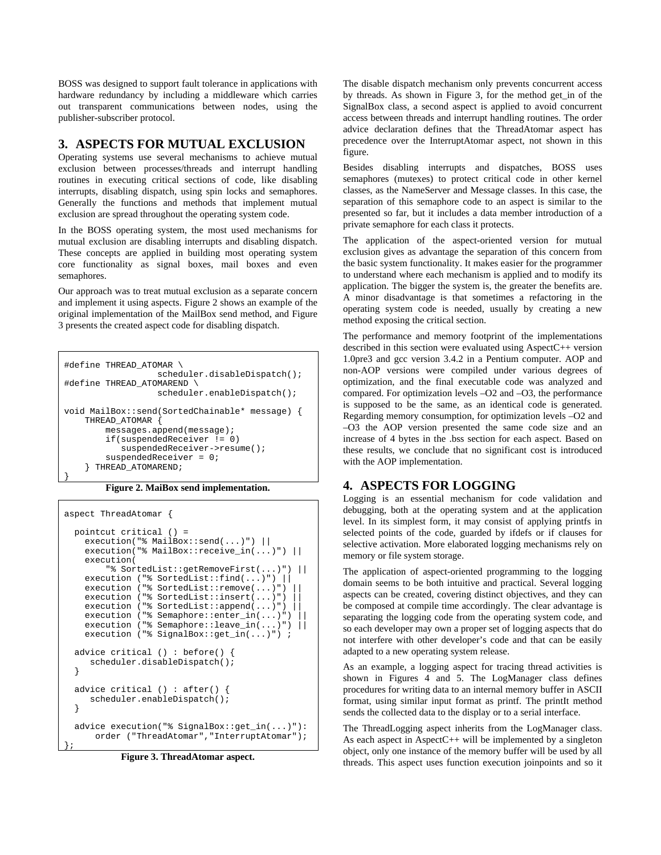BOSS was designed to support fault tolerance in applications with hardware redundancy by including a middleware which carries out transparent communications between nodes, using the publisher-subscriber protocol.

#### **3. ASPECTS FOR MUTUAL EXCLUSION**

Operating systems use several mechanisms to achieve mutual exclusion between processes/threads and interrupt handling routines in executing critical sections of code, like disabling interrupts, disabling dispatch, using spin locks and semaphores. Generally the functions and methods that implement mutual exclusion are spread throughout the operating system code.

In the BOSS operating system, the most used mechanisms for mutual exclusion are disabling interrupts and disabling dispatch. These concepts are applied in building most operating system core functionality as signal boxes, mail boxes and even semaphores.

Our approach was to treat mutual exclusion as a separate concern and implement it using aspects. Figure 2 shows an example of the original implementation of the MailBox send method, and Figure 3 presents the created aspect code for disabling dispatch.

```
#define THREAD_ATOMAR \ 
                    scheduler.disableDispatch(); 
#define THREAD_ATOMAREND \ 
                    scheduler.enableDispatch(); 
void MailBox::send(SortedChainable* message) { 
     THREAD_ATOMAR { 
         messages.append(message); 
         if(suspendedReceiver != 0) 
             suspendedReceiver->resume(); 
         suspendedReceiver = 0; 
     } THREAD_ATOMAREND; 
}
```
**Figure 2. MaiBox send implementation.** 

```
aspect ThreadAtomar { 
  pointcut critical () = 
   execution("% MailBox::send(...)") ||
    execution("% MailBox::receive_in(...)") ||
     execution( 
         "% SortedList::getRemoveFirst(...)") || 
     execution ("% SortedList::find(...)") || 
   execution ("% SortedList::remove(...)")
   execution ("% SortedList::insert(...)")
    execution ("% SortedList::append(...)")
    execution ("% Semaphore::enter_in(...)")
   execution ("% Semaphore::leave_in(...)")
    execution ("% SignalBox::get_in(...)") ;
  advice critical () : before() { 
      scheduler.disableDispatch(); 
   } 
  advice critical () : after() { 
     scheduler.enableDispatch();
   } 
   advice execution("% SignalBox::get_in(...)"): 
       order ("ThreadAtomar","InterruptAtomar"); 
};
```
**Figure 3. ThreadAtomar aspect.** 

The disable dispatch mechanism only prevents concurrent access by threads. As shown in Figure 3, for the method get\_in of the SignalBox class, a second aspect is applied to avoid concurrent access between threads and interrupt handling routines. The order advice declaration defines that the ThreadAtomar aspect has precedence over the InterruptAtomar aspect, not shown in this figure.

Besides disabling interrupts and dispatches, BOSS uses semaphores (mutexes) to protect critical code in other kernel classes, as the NameServer and Message classes. In this case, the separation of this semaphore code to an aspect is similar to the presented so far, but it includes a data member introduction of a private semaphore for each class it protects.

The application of the aspect-oriented version for mutual exclusion gives as advantage the separation of this concern from the basic system functionality. It makes easier for the programmer to understand where each mechanism is applied and to modify its application. The bigger the system is, the greater the benefits are. A minor disadvantage is that sometimes a refactoring in the operating system code is needed, usually by creating a new method exposing the critical section.

The performance and memory footprint of the implementations described in this section were evaluated using AspectC++ version 1.0pre3 and gcc version 3.4.2 in a Pentium computer. AOP and non-AOP versions were compiled under various degrees of optimization, and the final executable code was analyzed and compared. For optimization levels –O2 and –O3, the performance is supposed to be the same, as an identical code is generated. Regarding memory consumption, for optimization levels –O2 and –O3 the AOP version presented the same code size and an increase of 4 bytes in the .bss section for each aspect. Based on these results, we conclude that no significant cost is introduced with the AOP implementation.

# **4. ASPECTS FOR LOGGING**

Logging is an essential mechanism for code validation and debugging, both at the operating system and at the application level. In its simplest form, it may consist of applying printfs in selected points of the code, guarded by ifdefs or if clauses for selective activation. More elaborated logging mechanisms rely on memory or file system storage.

The application of aspect-oriented programming to the logging domain seems to be both intuitive and practical. Several logging aspects can be created, covering distinct objectives, and they can be composed at compile time accordingly. The clear advantage is separating the logging code from the operating system code, and so each developer may own a proper set of logging aspects that do not interfere with other developer's code and that can be easily adapted to a new operating system release.

As an example, a logging aspect for tracing thread activities is shown in Figures 4 and 5. The LogManager class defines procedures for writing data to an internal memory buffer in ASCII format, using similar input format as printf. The printIt method sends the collected data to the display or to a serial interface.

The ThreadLogging aspect inherits from the LogManager class. As each aspect in AspectC++ will be implemented by a singleton object, only one instance of the memory buffer will be used by all threads. This aspect uses function execution joinpoints and so it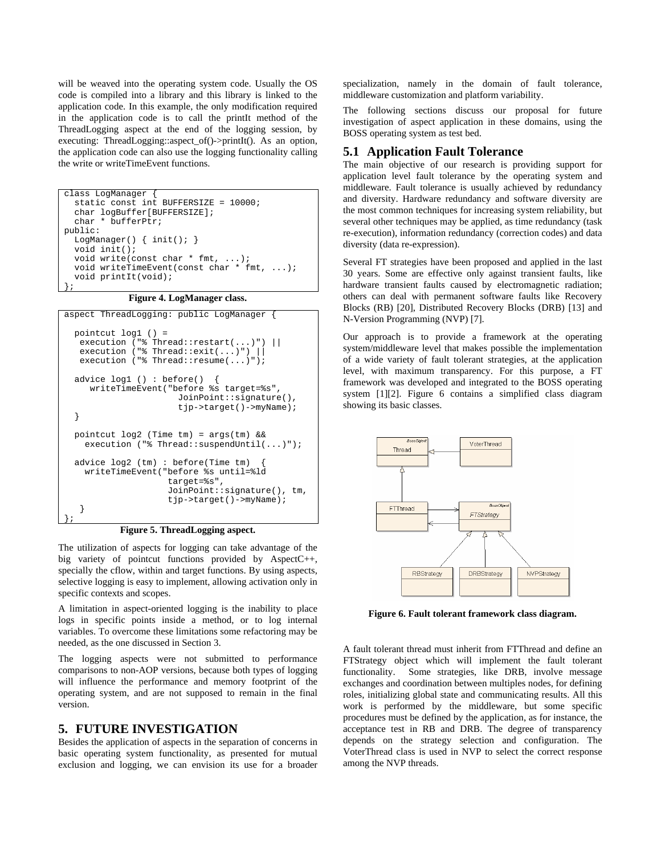will be weaved into the operating system code. Usually the OS code is compiled into a library and this library is linked to the application code. In this example, the only modification required in the application code is to call the printIt method of the ThreadLogging aspect at the end of the logging session, by executing: ThreadLogging::aspect\_of()->printIt(). As an option, the application code can also use the logging functionality calling the write or writeTimeEvent functions.

```
class LogManager { 
   static const int BUFFERSIZE = 10000; 
   char logBuffer[BUFFERSIZE]; 
   char * bufferPtr; 
public: 
  LogManager() { init(); }
   void init(); 
   void write(const char * fmt, ...); 
   void writeTimeEvent(const char * fmt, ...); 
   void printIt(void); 
};
```
**Figure 4. LogManager class.** 

```
aspect ThreadLogging: public LogManager { 
  pointcut log1 () = 
   execution ("% Thread::restart(...)") ||
   execution ("% Thread::exit(...)") ||
   execution ("% Thread::resume(...)");
   advice log1 () : before() { 
      writeTimeEvent("before %s target=%s", 
                        JoinPoint::signature(), 
                        tjp->target()->myName); 
   } 
  pointcut log2 (Time tm) = args(tm) && 
    execution ("% Thread::suspendUntil(...)");
  advice log2 (tm) : before(Time tm) { 
     writeTimeEvent("before %s until=%ld 
                      target=%s", 
                      JoinPoint::signature(), tm, 
                      tjp->target()->myName); 
    } 
};
```
**Figure 5. ThreadLogging aspect.**

The utilization of aspects for logging can take advantage of the big variety of pointcut functions provided by AspectC++, specially the cflow, within and target functions. By using aspects, selective logging is easy to implement, allowing activation only in specific contexts and scopes.

A limitation in aspect-oriented logging is the inability to place logs in specific points inside a method, or to log internal variables. To overcome these limitations some refactoring may be needed, as the one discussed in Section 3.

The logging aspects were not submitted to performance comparisons to non-AOP versions, because both types of logging will influence the performance and memory footprint of the operating system, and are not supposed to remain in the final version.

#### **5. FUTURE INVESTIGATION**

Besides the application of aspects in the separation of concerns in basic operating system functionality, as presented for mutual exclusion and logging, we can envision its use for a broader

specialization, namely in the domain of fault tolerance, middleware customization and platform variability.

The following sections discuss our proposal for future investigation of aspect application in these domains, using the BOSS operating system as test bed.

# **5.1 Application Fault Tolerance**

The main objective of our research is providing support for application level fault tolerance by the operating system and middleware. Fault tolerance is usually achieved by redundancy and diversity. Hardware redundancy and software diversity are the most common techniques for increasing system reliability, but several other techniques may be applied, as time redundancy (task re-execution), information redundancy (correction codes) and data diversity (data re-expression).

Several FT strategies have been proposed and applied in the last 30 years. Some are effective only against transient faults, like hardware transient faults caused by electromagnetic radiation; others can deal with permanent software faults like Recovery Blocks (RB) [20], Distributed Recovery Blocks (DRB) [13] and N-Version Programming (NVP) [7].

Our approach is to provide a framework at the operating system/middleware level that makes possible the implementation of a wide variety of fault tolerant strategies, at the application level, with maximum transparency. For this purpose, a FT framework was developed and integrated to the BOSS operating system [1][2]. Figure 6 contains a simplified class diagram showing its basic classes.



**Figure 6. Fault tolerant framework class diagram.**

A fault tolerant thread must inherit from FTThread and define an FTStrategy object which will implement the fault tolerant functionality. Some strategies, like DRB, involve message exchanges and coordination between multiples nodes, for defining roles, initializing global state and communicating results. All this work is performed by the middleware, but some specific procedures must be defined by the application, as for instance, the acceptance test in RB and DRB. The degree of transparency depends on the strategy selection and configuration. The VoterThread class is used in NVP to select the correct response among the NVP threads.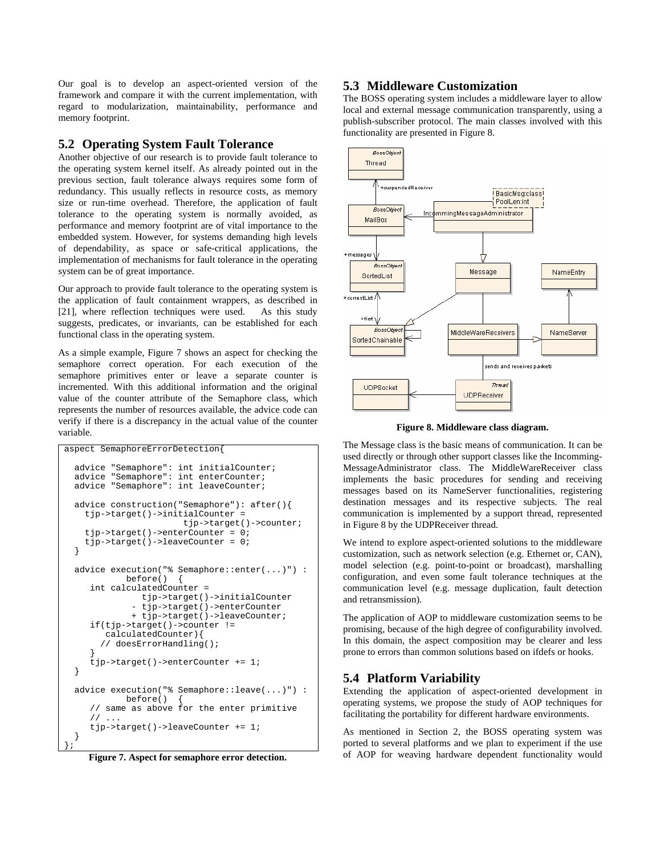Our goal is to develop an aspect-oriented version of the framework and compare it with the current implementation, with regard to modularization, maintainability, performance and memory footprint.

#### **5.2 Operating System Fault Tolerance**

Another objective of our research is to provide fault tolerance to the operating system kernel itself. As already pointed out in the previous section, fault tolerance always requires some form of redundancy. This usually reflects in resource costs, as memory size or run-time overhead. Therefore, the application of fault tolerance to the operating system is normally avoided, as performance and memory footprint are of vital importance to the embedded system. However, for systems demanding high levels of dependability, as space or safe-critical applications, the implementation of mechanisms for fault tolerance in the operating system can be of great importance.

Our approach to provide fault tolerance to the operating system is the application of fault containment wrappers, as described in [21], where reflection techniques were used. As this study suggests, predicates, or invariants, can be established for each functional class in the operating system.

As a simple example, Figure 7 shows an aspect for checking the semaphore correct operation. For each execution of the semaphore primitives enter or leave a separate counter is incremented. With this additional information and the original value of the counter attribute of the Semaphore class, which represents the number of resources available, the advice code can verify if there is a discrepancy in the actual value of the counter variable.

```
aspect SemaphoreErrorDetection{ 
   advice "Semaphore": int initialCounter; 
   advice "Semaphore": int enterCounter; 
   advice "Semaphore": int leaveCounter; 
   advice construction("Semaphore"): after(){ 
     tjp->target()->initialCounter = 
                          tjp->target()->counter; 
     tjp->target()->enterCounter = 0; 
     tjp->target()->leaveCounter = 0; 
   } 
   advice execution("% Semaphore::enter(...)") : 
              before() { 
      int calculatedCounter = 
                 tjp->target()->initialCounter 
               - tjp->target()->enterCounter 
               + tjp->target()->leaveCounter; 
      if(tjp->target()->counter != 
         calculatedCounter){ 
         // doesErrorHandling(); 
 } 
      tjp->target()->enterCounter += 1; 
   } 
   advice execution("% Semaphore::leave(...)") : 
              before() { 
      // same as above for the enter primitive 
     1/ ...
      tjp->target()->leaveCounter += 1; 
   } 
};
```
**Figure 7. Aspect for semaphore error detection.**

#### **5.3 Middleware Customization**

The BOSS operating system includes a middleware layer to allow local and external message communication transparently, using a publish-subscriber protocol. The main classes involved with this functionality are presented in Figure 8.



**Figure 8. Middleware class diagram.**

The Message class is the basic means of communication. It can be used directly or through other support classes like the Incomming-MessageAdministrator class. The MiddleWareReceiver class implements the basic procedures for sending and receiving messages based on its NameServer functionalities, registering destination messages and its respective subjects. The real communication is implemented by a support thread, represented in Figure 8 by the UDPReceiver thread.

We intend to explore aspect-oriented solutions to the middleware customization, such as network selection (e.g. Ethernet or, CAN), model selection (e.g. point-to-point or broadcast), marshalling configuration, and even some fault tolerance techniques at the communication level (e.g. message duplication, fault detection and retransmission).

The application of AOP to middleware customization seems to be promising, because of the high degree of configurability involved. In this domain, the aspect composition may be clearer and less prone to errors than common solutions based on ifdefs or hooks.

# **5.4 Platform Variability**

Extending the application of aspect-oriented development in operating systems, we propose the study of AOP techniques for facilitating the portability for different hardware environments.

As mentioned in Section 2, the BOSS operating system was ported to several platforms and we plan to experiment if the use of AOP for weaving hardware dependent functionality would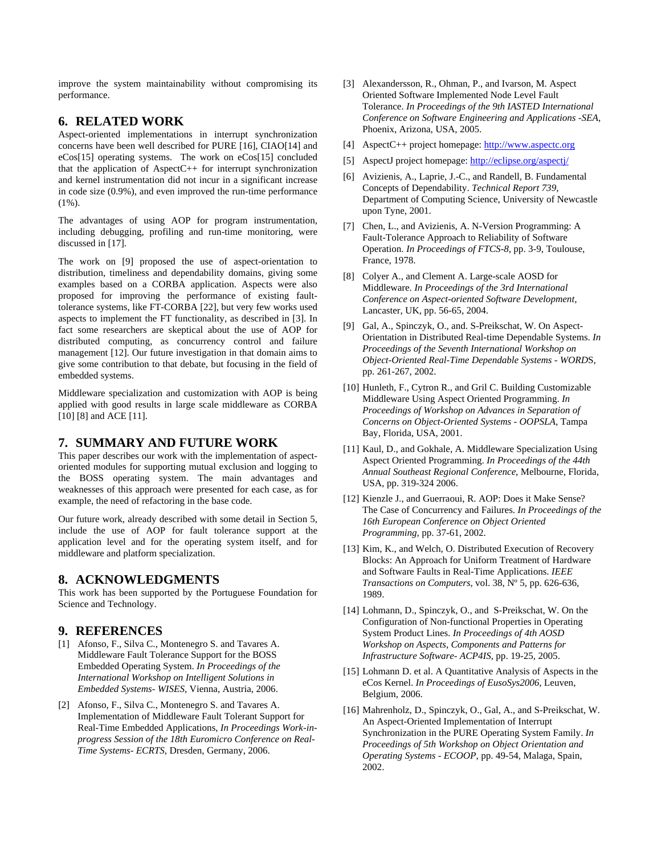improve the system maintainability without compromising its performance.

#### **6. RELATED WORK**

Aspect-oriented implementations in interrupt synchronization concerns have been well described for PURE [16], CIAO[14] and eCos[15] operating systems. The work on eCos[15] concluded that the application of AspectC $++$  for interrupt synchronization and kernel instrumentation did not incur in a significant increase in code size (0.9%), and even improved the run-time performance (1%).

The advantages of using AOP for program instrumentation, including debugging, profiling and run-time monitoring, were discussed in [17].

The work on [9] proposed the use of aspect-orientation to distribution, timeliness and dependability domains, giving some examples based on a CORBA application. Aspects were also proposed for improving the performance of existing faulttolerance systems, like FT-CORBA [22], but very few works used aspects to implement the FT functionality, as described in [3]. In fact some researchers are skeptical about the use of AOP for distributed computing, as concurrency control and failure management [12]. Our future investigation in that domain aims to give some contribution to that debate, but focusing in the field of embedded systems.

Middleware specialization and customization with AOP is being applied with good results in large scale middleware as CORBA [10] [8] and ACE [11].

# **7. SUMMARY AND FUTURE WORK**

This paper describes our work with the implementation of aspectoriented modules for supporting mutual exclusion and logging to the BOSS operating system. The main advantages and weaknesses of this approach were presented for each case, as for example, the need of refactoring in the base code.

Our future work, already described with some detail in Section 5, include the use of AOP for fault tolerance support at the application level and for the operating system itself, and for middleware and platform specialization.

#### **8. ACKNOWLEDGMENTS**

This work has been supported by the Portuguese Foundation for Science and Technology.

# **9. REFERENCES**

- [1] Afonso, F., Silva C., Montenegro S. and Tavares A. Middleware Fault Tolerance Support for the BOSS Embedded Operating System. *In Proceedings of the International Workshop on Intelligent Solutions in Embedded Systems- WISES*, Vienna, Austria, 2006.
- [2] Afonso, F., Silva C., Montenegro S. and Tavares A. Implementation of Middleware Fault Tolerant Support for Real-Time Embedded Applications, *In Proceedings Work-inprogress Session of the 18th Euromicro Conference on Real-Time Systems- ECRTS*, Dresden, Germany, 2006.
- [3] Alexandersson, R., Ohman, P., and Ivarson, M. Aspect Oriented Software Implemented Node Level Fault Tolerance. *In Proceedings of the 9th IASTED International Conference on Software Engineering and Applications -SEA*, Phoenix, Arizona, USA, 2005.
- [4] AspectC++ project homepage: http://www.aspectc.org
- [5] AspectJ project homepage: http://eclipse.org/aspectj/
- [6] Avizienis, A., Laprie, J.-C., and Randell, B. Fundamental Concepts of Dependability. *Technical Report 739*, Department of Computing Science, University of Newcastle upon Tyne, 2001.
- [7] Chen, L., and Avizienis, A. N-Version Programming: A Fault-Tolerance Approach to Reliability of Software Operation. *In Proceedings of FTCS-8*, pp. 3-9, Toulouse, France, 1978.
- [8] Colyer A., and Clement A. Large-scale AOSD for Middleware. *In Proceedings of the 3rd International Conference on Aspect-oriented Software Development,*  Lancaster, UK, pp. 56-65, 2004.
- [9] Gal, A., Spinczyk, O., and. S-Preikschat, W. On Aspect-Orientation in Distributed Real-time Dependable Systems. *In Proceedings of the Seventh International Workshop on Object-Oriented Real-Time Dependable Systems - WORD*S, pp. 261-267, 2002.
- [10] Hunleth, F., Cytron R., and Gril C. Building Customizable Middleware Using Aspect Oriented Programming. *In Proceedings of Workshop on Advances in Separation of Concerns on Object-Oriented Systems - OOPSLA*, Tampa Bay, Florida, USA, 2001.
- [11] Kaul, D., and Gokhale, A. Middleware Specialization Using Aspect Oriented Programming. *In Proceedings of the 44th Annual Southeast Regional Conference*, Melbourne, Florida, USA, pp. 319-324 2006.
- [12] Kienzle J., and Guerraoui, R. AOP: Does it Make Sense? The Case of Concurrency and Failures. *In Proceedings of the 16th European Conference on Object Oriented Programming*, pp. 37-61, 2002.
- [13] Kim, K., and Welch, O. Distributed Execution of Recovery Blocks: An Approach for Uniform Treatment of Hardware and Software Faults in Real-Time Applications. *IEEE Transactions on Computers*, vol. 38, Nº 5, pp. 626-636, 1989.
- [14] Lohmann, D., Spinczyk, O., and S-Preikschat, W. On the Configuration of Non-functional Properties in Operating System Product Lines. *In Proceedings of 4th AOSD Workshop on Aspects, Components and Patterns for Infrastructure Software- ACP4IS*, pp. 19-25, 2005.
- [15] Lohmann D. et al. A Quantitative Analysis of Aspects in the eCos Kernel. *In Proceedings of EusoSys2006*, Leuven, Belgium, 2006.
- [16] Mahrenholz, D., Spinczyk, O., Gal, A., and S-Preikschat, W. An Aspect-Oriented Implementation of Interrupt Synchronization in the PURE Operating System Family. *In Proceedings of 5th Workshop on Object Orientation and Operating Systems - ECOOP*, pp. 49-54, Malaga, Spain, 2002.